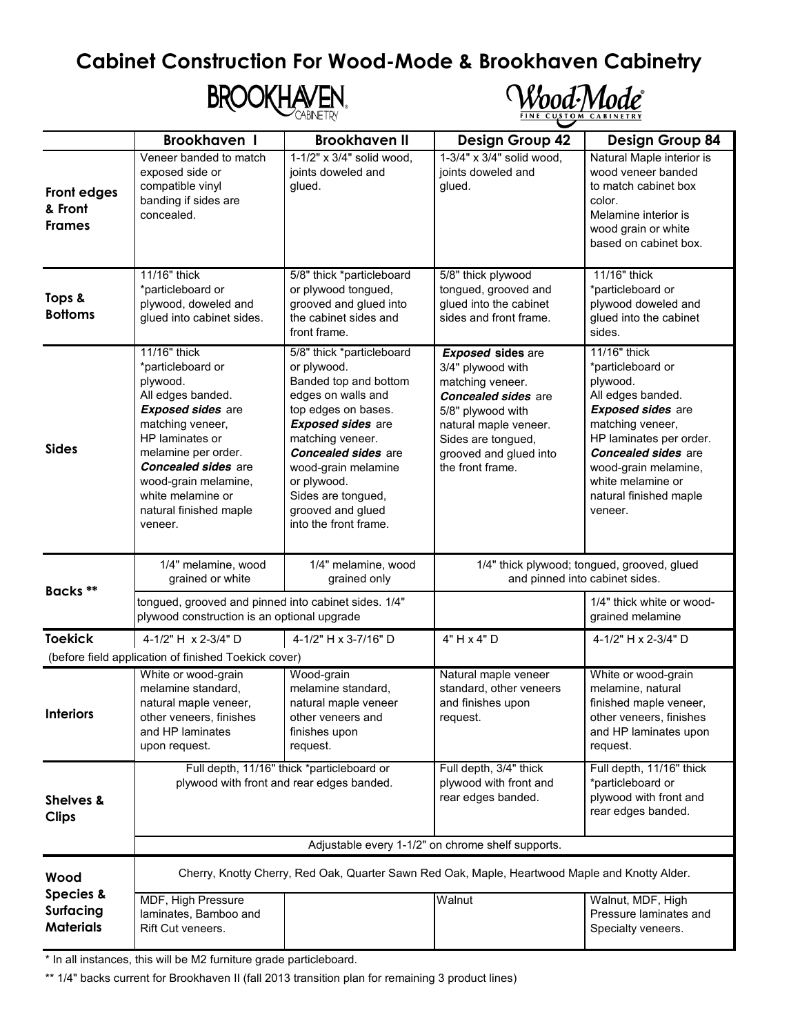## **Cabinet Construction For Wood-Mode & Brookhaven Cabinetry**





|                                                       | <b>Brookhaven I</b>                                                                                                                                                                                                                                                          | <b>Brookhaven II</b>                                                                                                                                                                                                                                                                                   | <b>Design Group 42</b>                                                                                                                                                                                            | <b>Design Group 84</b>                                                                                                                                                                                                                                        |  |  |
|-------------------------------------------------------|------------------------------------------------------------------------------------------------------------------------------------------------------------------------------------------------------------------------------------------------------------------------------|--------------------------------------------------------------------------------------------------------------------------------------------------------------------------------------------------------------------------------------------------------------------------------------------------------|-------------------------------------------------------------------------------------------------------------------------------------------------------------------------------------------------------------------|---------------------------------------------------------------------------------------------------------------------------------------------------------------------------------------------------------------------------------------------------------------|--|--|
| Front edges<br>& Front<br><b>Frames</b>               | Veneer banded to match<br>exposed side or<br>compatible vinyl<br>banding if sides are<br>concealed.                                                                                                                                                                          | 1-1/2" x 3/4" solid wood,<br>joints doweled and<br>glued.                                                                                                                                                                                                                                              | 1-3/4" x 3/4" solid wood,<br>joints doweled and<br>glued.                                                                                                                                                         | Natural Maple interior is<br>wood veneer banded<br>to match cabinet box<br>color.<br>Melamine interior is<br>wood grain or white<br>based on cabinet box.                                                                                                     |  |  |
| Tops &<br><b>Bottoms</b>                              | 11/16" thick<br>*particleboard or<br>plywood, doweled and<br>glued into cabinet sides.                                                                                                                                                                                       | 5/8" thick *particleboard<br>or plywood tongued,<br>grooved and glued into<br>the cabinet sides and<br>front frame.                                                                                                                                                                                    | 5/8" thick plywood<br>tongued, grooved and<br>glued into the cabinet<br>sides and front frame.                                                                                                                    | 11/16" thick<br>*particleboard or<br>plywood doweled and<br>glued into the cabinet<br>sides.                                                                                                                                                                  |  |  |
| <b>Sides</b>                                          | 11/16" thick<br>*particleboard or<br>plywood.<br>All edges banded.<br><b>Exposed sides are</b><br>matching veneer,<br>HP laminates or<br>melamine per order.<br><b>Concealed sides</b> are<br>wood-grain melamine,<br>white melamine or<br>natural finished maple<br>veneer. | 5/8" thick *particleboard<br>or plywood.<br>Banded top and bottom<br>edges on walls and<br>top edges on bases.<br><b>Exposed sides are</b><br>matching veneer.<br><b>Concealed sides are</b><br>wood-grain melamine<br>or plywood.<br>Sides are tongued,<br>grooved and glued<br>into the front frame. | <b>Exposed sides are</b><br>3/4" plywood with<br>matching veneer.<br><b>Concealed sides are</b><br>5/8" plywood with<br>natural maple veneer.<br>Sides are tongued,<br>grooved and glued into<br>the front frame. | 11/16" thick<br>*particleboard or<br>plywood.<br>All edges banded.<br><b>Exposed sides are</b><br>matching veneer,<br>HP laminates per order.<br><b>Concealed sides</b> are<br>wood-grain melamine,<br>white melamine or<br>natural finished maple<br>veneer. |  |  |
| Backs **                                              | 1/4" melamine, wood<br>grained or white                                                                                                                                                                                                                                      | 1/4" melamine, wood<br>grained only                                                                                                                                                                                                                                                                    | 1/4" thick plywood; tongued, grooved, glued<br>and pinned into cabinet sides.                                                                                                                                     |                                                                                                                                                                                                                                                               |  |  |
|                                                       | tongued, grooved and pinned into cabinet sides. 1/4"<br>plywood construction is an optional upgrade                                                                                                                                                                          |                                                                                                                                                                                                                                                                                                        |                                                                                                                                                                                                                   | 1/4" thick white or wood-<br>grained melamine                                                                                                                                                                                                                 |  |  |
| <b>Toekick</b>                                        | 4-1/2" H x 2-3/4" D                                                                                                                                                                                                                                                          | 4-1/2" H x 3-7/16" D                                                                                                                                                                                                                                                                                   | 4" H x 4" D                                                                                                                                                                                                       | 4-1/2" H x 2-3/4" D                                                                                                                                                                                                                                           |  |  |
|                                                       | (before field application of finished Toekick cover)                                                                                                                                                                                                                         |                                                                                                                                                                                                                                                                                                        |                                                                                                                                                                                                                   |                                                                                                                                                                                                                                                               |  |  |
| <b>Interiors</b>                                      | White or wood-grain<br>melamine standard,<br>natural maple veneer,<br>other veneers, finishes<br>and HP laminates<br>upon request.                                                                                                                                           | Wood-grain<br>melamine standard,<br>natural maple veneer<br>other veneers and<br>finishes upon<br>request.                                                                                                                                                                                             | Natural maple veneer<br>standard, other veneers<br>and finishes upon<br>request.                                                                                                                                  | White or wood-grain<br>melamine, natural<br>finished maple veneer,<br>other veneers, finishes<br>and HP laminates upon<br>request.                                                                                                                            |  |  |
| <b>Shelves &amp;</b><br><b>Clips</b>                  |                                                                                                                                                                                                                                                                              | Full depth, 11/16" thick *particleboard or<br>plywood with front and rear edges banded.                                                                                                                                                                                                                | Full depth, 3/4" thick<br>plywood with front and<br>rear edges banded.                                                                                                                                            | Full depth, 11/16" thick<br>*particleboard or<br>plywood with front and<br>rear edges banded.                                                                                                                                                                 |  |  |
|                                                       | Adjustable every 1-1/2" on chrome shelf supports.                                                                                                                                                                                                                            |                                                                                                                                                                                                                                                                                                        |                                                                                                                                                                                                                   |                                                                                                                                                                                                                                                               |  |  |
| Wood                                                  | Cherry, Knotty Cherry, Red Oak, Quarter Sawn Red Oak, Maple, Heartwood Maple and Knotty Alder.                                                                                                                                                                               |                                                                                                                                                                                                                                                                                                        |                                                                                                                                                                                                                   |                                                                                                                                                                                                                                                               |  |  |
| <b>Species &amp;</b><br>Surfacing<br><b>Materials</b> | MDF, High Pressure<br>laminates, Bamboo and<br>Rift Cut veneers.                                                                                                                                                                                                             |                                                                                                                                                                                                                                                                                                        | Walnut                                                                                                                                                                                                            | Walnut, MDF, High<br>Pressure laminates and<br>Specialty veneers.                                                                                                                                                                                             |  |  |

\* In all instances, this will be M2 furniture grade particleboard.

\*\* 1/4" backs current for Brookhaven II (fall 2013 transition plan for remaining 3 product lines)